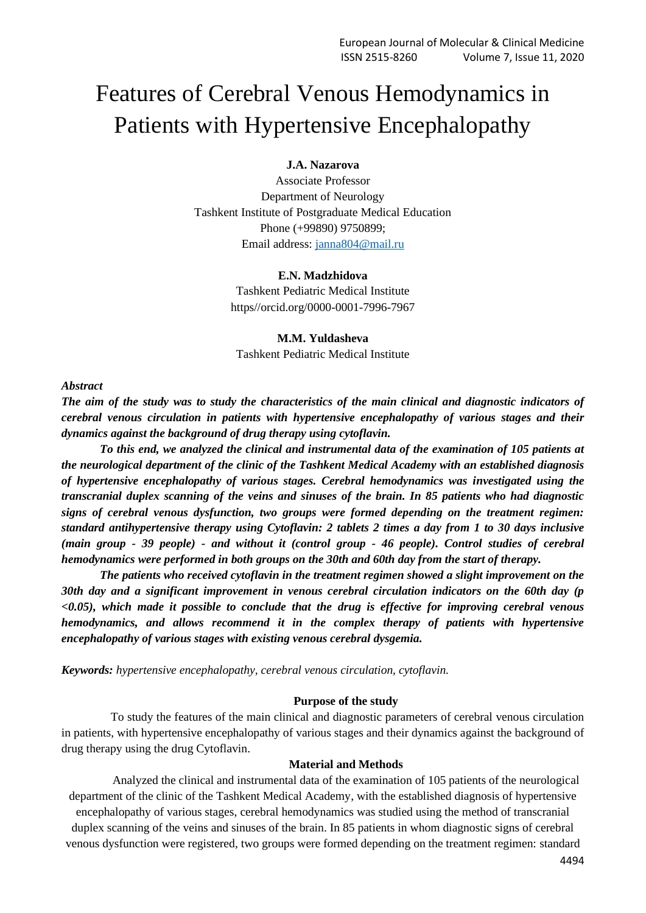# Features of Cerebral Venous Hemodynamics in Patients with Hypertensive Encephalopathy

## **J.A. Nazarova**

Associate Professor Department of Neurology Tashkent Institute of Postgraduate Medical Education Phone (+99890) 9750899; Email address: [janna804@mail.ru](mailto:janna804@mail.ru)

#### **E.N. Madzhidova**

Tashkent Pediatric Medical Institute https//orcid.org/0000-0001-7996-7967

## **M.M. Yuldasheva**

Tashkent Pediatric Medical Institute

#### *Abstract*

*The aim of the study was to study the characteristics of the main clinical and diagnostic indicators of cerebral venous circulation in patients with hypertensive encephalopathy of various stages and their dynamics against the background of drug therapy using cytoflavin.*

*To this end, we analyzed the clinical and instrumental data of the examination of 105 patients at the neurological department of the clinic of the Tashkent Medical Academy with an established diagnosis of hypertensive encephalopathy of various stages. Cerebral hemodynamics was investigated using the transcranial duplex scanning of the veins and sinuses of the brain. In 85 patients who had diagnostic signs of cerebral venous dysfunction, two groups were formed depending on the treatment regimen: standard antihypertensive therapy using Cytoflavin: 2 tablets 2 times a day from 1 to 30 days inclusive (main group - 39 people) - and without it (control group - 46 people). Control studies of cerebral hemodynamics were performed in both groups on the 30th and 60th day from the start of therapy.*

*The patients who received cytoflavin in the treatment regimen showed a slight improvement on the 30th day and a significant improvement in venous cerebral circulation indicators on the 60th day (p <0.05), which made it possible to conclude that the drug is effective for improving cerebral venous hemodynamics, and allows recommend it in the complex therapy of patients with hypertensive encephalopathy of various stages with existing venous cerebral dysgemia.*

*Keywords: hypertensive encephalopathy, cerebral venous circulation, cytoflavin.*

#### **Purpose of the study**

To study the features of the main clinical and diagnostic parameters of cerebral venous circulation in patients, with hypertensive encephalopathy of various stages and their dynamics against the background of drug therapy using the drug Cytoflavin.

### **Material and Methods**

Analyzed the clinical and instrumental data of the examination of 105 patients of the neurological department of the clinic of the Tashkent Medical Academy, with the established diagnosis of hypertensive encephalopathy of various stages, cerebral hemodynamics was studied using the method of transcranial duplex scanning of the veins and sinuses of the brain. In 85 patients in whom diagnostic signs of cerebral venous dysfunction were registered, two groups were formed depending on the treatment regimen: standard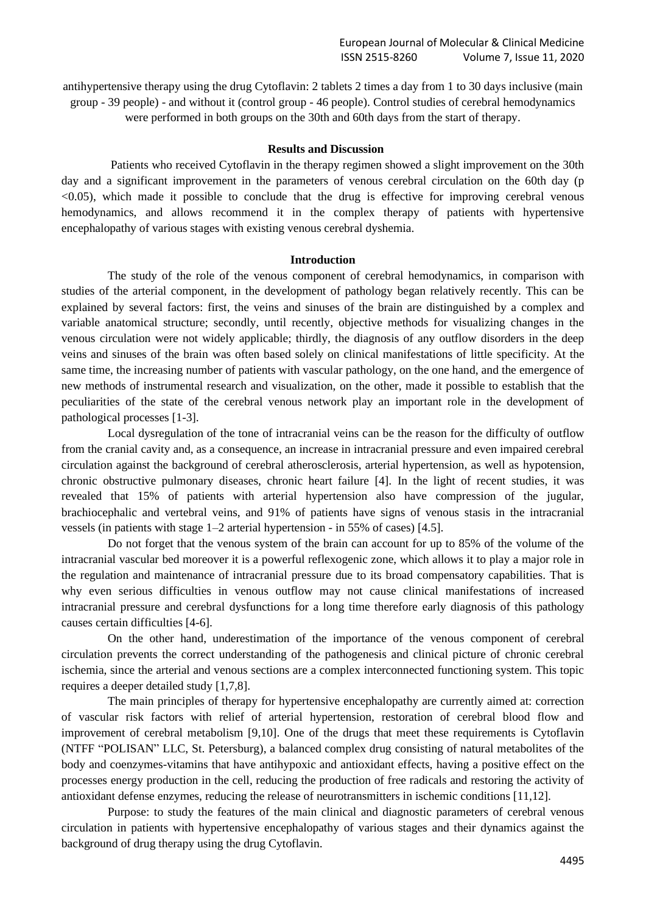antihypertensive therapy using the drug Cytoflavin: 2 tablets 2 times a day from 1 to 30 days inclusive (main group - 39 people) - and without it (control group - 46 people). Control studies of cerebral hemodynamics were performed in both groups on the 30th and 60th days from the start of therapy.

### **Results and Discussion**

Patients who received Cytoflavin in the therapy regimen showed a slight improvement on the 30th day and a significant improvement in the parameters of venous cerebral circulation on the 60th day (p <0.05), which made it possible to conclude that the drug is effective for improving cerebral venous hemodynamics, and allows recommend it in the complex therapy of patients with hypertensive encephalopathy of various stages with existing venous cerebral dyshemia.

#### **Introduction**

The study of the role of the venous component of cerebral hemodynamics, in comparison with studies of the arterial component, in the development of pathology began relatively recently. This can be explained by several factors: first, the veins and sinuses of the brain are distinguished by a complex and variable anatomical structure; secondly, until recently, objective methods for visualizing changes in the venous circulation were not widely applicable; thirdly, the diagnosis of any outflow disorders in the deep veins and sinuses of the brain was often based solely on clinical manifestations of little specificity. At the same time, the increasing number of patients with vascular pathology, on the one hand, and the emergence of new methods of instrumental research and visualization, on the other, made it possible to establish that the peculiarities of the state of the cerebral venous network play an important role in the development of pathological processes [1-3].

Local dysregulation of the tone of intracranial veins can be the reason for the difficulty of outflow from the cranial cavity and, as a consequence, an increase in intracranial pressure and even impaired cerebral circulation against the background of cerebral atherosclerosis, arterial hypertension, as well as hypotension, chronic obstructive pulmonary diseases, chronic heart failure [4]. In the light of recent studies, it was revealed that 15% of patients with arterial hypertension also have compression of the jugular, brachiocephalic and vertebral veins, and 91% of patients have signs of venous stasis in the intracranial vessels (in patients with stage 1–2 arterial hypertension - in 55% of cases) [4.5].

Do not forget that the venous system of the brain can account for up to 85% of the volume of the intracranial vascular bed moreover it is a powerful reflexogenic zone, which allows it to play a major role in the regulation and maintenance of intracranial pressure due to its broad compensatory capabilities. That is why even serious difficulties in venous outflow may not cause clinical manifestations of increased intracranial pressure and cerebral dysfunctions for a long time therefore early diagnosis of this pathology causes certain difficulties [4-6].

On the other hand, underestimation of the importance of the venous component of cerebral circulation prevents the correct understanding of the pathogenesis and clinical picture of chronic cerebral ischemia, since the arterial and venous sections are a complex interconnected functioning system. This topic requires a deeper detailed study [1,7,8].

The main principles of therapy for hypertensive encephalopathy are currently aimed at: correction of vascular risk factors with relief of arterial hypertension, restoration of cerebral blood flow and improvement of cerebral metabolism [9,10]. One of the drugs that meet these requirements is Cytoflavin (NTFF "POLISAN" LLC, St. Petersburg), a balanced complex drug consisting of natural metabolites of the body and coenzymes-vitamins that have antihypoxic and antioxidant effects, having a positive effect on the processes energy production in the cell, reducing the production of free radicals and restoring the activity of antioxidant defense enzymes, reducing the release of neurotransmitters in ischemic conditions [11,12].

Purpose: to study the features of the main clinical and diagnostic parameters of cerebral venous circulation in patients with hypertensive encephalopathy of various stages and their dynamics against the background of drug therapy using the drug Cytoflavin.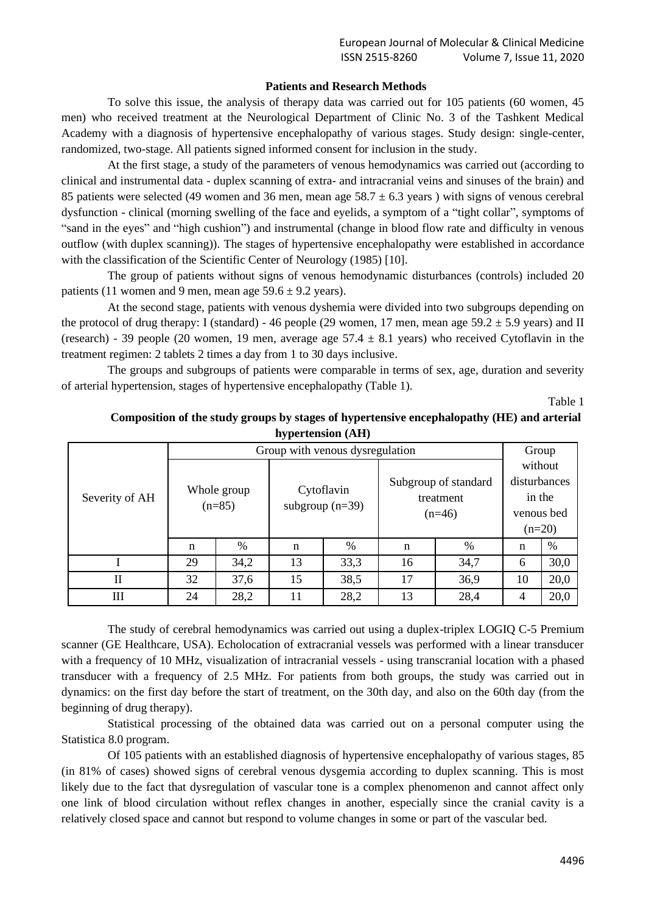# **Patients and Research Methods**

To solve this issue, the analysis of therapy data was carried out for 105 patients (60 women, 45 men) who received treatment at the Neurological Department of Clinic No. 3 of the Tashkent Medical Academy with a diagnosis of hypertensive encephalopathy of various stages. Study design: single-center, randomized, two-stage. All patients signed informed consent for inclusion in the study.

At the first stage, a study of the parameters of venous hemodynamics was carried out (according to clinical and instrumental data - duplex scanning of extra- and intracranial veins and sinuses of the brain) and 85 patients were selected (49 women and 36 men, mean age  $58.7 \pm 6.3$  years) with signs of venous cerebral dysfunction - clinical (morning swelling of the face and eyelids, a symptom of a "tight collar", symptoms of "sand in the eyes" and "high cushion") and instrumental (change in blood flow rate and difficulty in venous outflow (with duplex scanning)). The stages of hypertensive encephalopathy were established in accordance with the classification of the Scientific Center of Neurology (1985) [10].

The group of patients without signs of venous hemodynamic disturbances (controls) included 20 patients (11 women and 9 men, mean age  $59.6 \pm 9.2$  years).

At the second stage, patients with venous dyshemia were divided into two subgroups depending on the protocol of drug therapy: I (standard) - 46 people (29 women, 17 men, mean age  $59.2 \pm 5.9$  years) and II (research) - 39 people (20 women, 19 men, average age  $57.4 \pm 8.1$  years) who received Cytoflavin in the treatment regimen: 2 tablets 2 times a day from 1 to 30 days inclusive.

The groups and subgroups of patients were comparable in terms of sex, age, duration and severity of arterial hypertension, stages of hypertensive encephalopathy (Table 1).

Table 1

| Severity of AH | Group with venous dysregulation |      |                                 |      |                                               |      | Group        |      |
|----------------|---------------------------------|------|---------------------------------|------|-----------------------------------------------|------|--------------|------|
|                |                                 |      |                                 |      |                                               |      | without      |      |
|                | Whole group<br>$(n=85)$         |      | Cytoflavin<br>subgroup $(n=39)$ |      | Subgroup of standard<br>treatment<br>$(n=46)$ |      | disturbances |      |
|                |                                 |      |                                 |      |                                               |      | in the       |      |
|                |                                 |      |                                 |      |                                               |      | venous bed   |      |
|                |                                 |      |                                 |      |                                               |      | $(n=20)$     |      |
|                | n                               | %    | n                               | %    | n                                             | %    | n            | $\%$ |
|                | 29                              | 34,2 | 13                              | 33,3 | 16                                            | 34,7 | 6            | 30,0 |
| $\mathbf{I}$   | 32                              | 37,6 | 15                              | 38,5 | 17                                            | 36,9 | 10           | 20,0 |
| III            | 24                              | 28,2 | 11                              | 28,2 | 13                                            | 28,4 | 4            | 20,0 |

**Composition of the study groups by stages of hypertensive encephalopathy (HE) and arterial hypertension (AH)**

The study of cerebral hemodynamics was carried out using a duplex-triplex LOGIQ C-5 Premium scanner (GE Healthcare, USA). Echolocation of extracranial vessels was performed with a linear transducer with a frequency of 10 MHz, visualization of intracranial vessels - using transcranial location with a phased transducer with a frequency of 2.5 MHz. For patients from both groups, the study was carried out in dynamics: on the first day before the start of treatment, on the 30th day, and also on the 60th day (from the beginning of drug therapy).

Statistical processing of the obtained data was carried out on a personal computer using the Statistica 8.0 program.

Of 105 patients with an established diagnosis of hypertensive encephalopathy of various stages, 85 (in 81% of cases) showed signs of cerebral venous dysgemia according to duplex scanning. This is most likely due to the fact that dysregulation of vascular tone is a complex phenomenon and cannot affect only one link of blood circulation without reflex changes in another, especially since the cranial cavity is a relatively closed space and cannot but respond to volume changes in some or part of the vascular bed.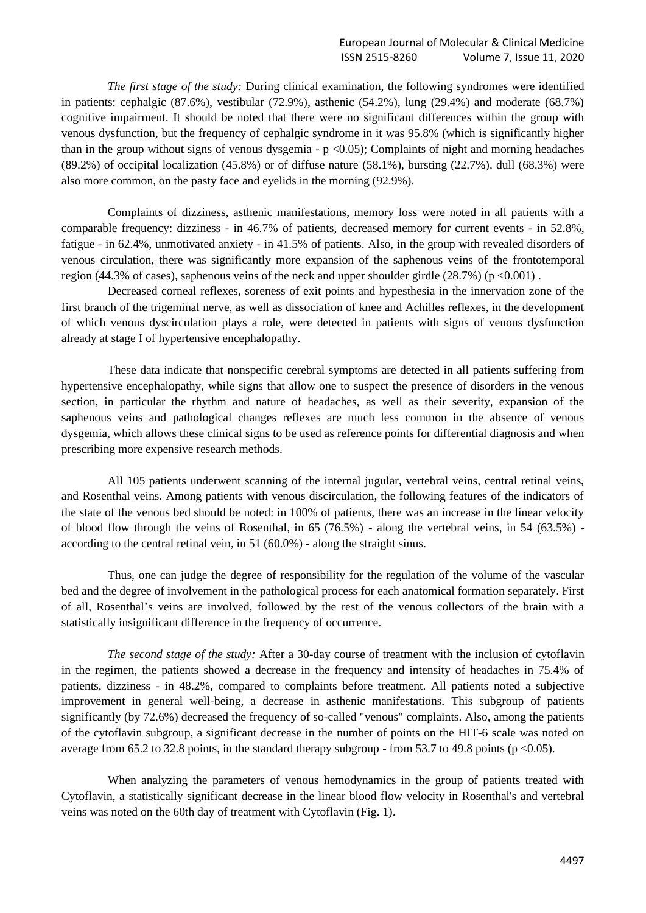*The first stage of the study:* During clinical examination, the following syndromes were identified in patients: cephalgic (87.6%), vestibular (72.9%), asthenic (54.2%), lung (29.4%) and moderate (68.7%) cognitive impairment. It should be noted that there were no significant differences within the group with venous dysfunction, but the frequency of cephalgic syndrome in it was 95.8% (which is significantly higher than in the group without signs of venous dysgemia -  $p \le 0.05$ ); Complaints of night and morning headaches  $(89.2\%)$  of occipital localization  $(45.8\%)$  or of diffuse nature  $(58.1\%)$ , bursting  $(22.7\%)$ , dull  $(68.3\%)$  were also more common, on the pasty face and eyelids in the morning (92.9%).

Complaints of dizziness, asthenic manifestations, memory loss were noted in all patients with a comparable frequency: dizziness - in 46.7% of patients, decreased memory for current events - in 52.8%, fatigue - in 62.4%, unmotivated anxiety - in 41.5% of patients. Also, in the group with revealed disorders of venous circulation, there was significantly more expansion of the saphenous veins of the frontotemporal region (44.3% of cases), saphenous veins of the neck and upper shoulder girdle (28.7%) (p <0.001).

Decreased corneal reflexes, soreness of exit points and hypesthesia in the innervation zone of the first branch of the trigeminal nerve, as well as dissociation of knee and Achilles reflexes, in the development of which venous dyscirculation plays a role, were detected in patients with signs of venous dysfunction already at stage I of hypertensive encephalopathy.

These data indicate that nonspecific cerebral symptoms are detected in all patients suffering from hypertensive encephalopathy, while signs that allow one to suspect the presence of disorders in the venous section, in particular the rhythm and nature of headaches, as well as their severity, expansion of the saphenous veins and pathological changes reflexes are much less common in the absence of venous dysgemia, which allows these clinical signs to be used as reference points for differential diagnosis and when prescribing more expensive research methods.

All 105 patients underwent scanning of the internal jugular, vertebral veins, central retinal veins, and Rosenthal veins. Among patients with venous discirculation, the following features of the indicators of the state of the venous bed should be noted: in 100% of patients, there was an increase in the linear velocity of blood flow through the veins of Rosenthal, in 65 (76.5%) - along the vertebral veins, in 54 (63.5%) according to the central retinal vein, in 51 (60.0%) - along the straight sinus.

Thus, one can judge the degree of responsibility for the regulation of the volume of the vascular bed and the degree of involvement in the pathological process for each anatomical formation separately. First of all, Rosenthal's veins are involved, followed by the rest of the venous collectors of the brain with a statistically insignificant difference in the frequency of occurrence.

*The second stage of the study:* After a 30-day course of treatment with the inclusion of cytoflavin in the regimen, the patients showed a decrease in the frequency and intensity of headaches in 75.4% of patients, dizziness - in 48.2%, compared to complaints before treatment. All patients noted a subjective improvement in general well-being, a decrease in asthenic manifestations. This subgroup of patients significantly (by 72.6%) decreased the frequency of so-called "venous" complaints. Also, among the patients of the cytoflavin subgroup, a significant decrease in the number of points on the HIT-6 scale was noted on average from 65.2 to 32.8 points, in the standard therapy subgroup - from 53.7 to 49.8 points ( $p \le 0.05$ ).

When analyzing the parameters of venous hemodynamics in the group of patients treated with Cytoflavin, a statistically significant decrease in the linear blood flow velocity in Rosenthal's and vertebral veins was noted on the 60th day of treatment with Cytoflavin (Fig. 1).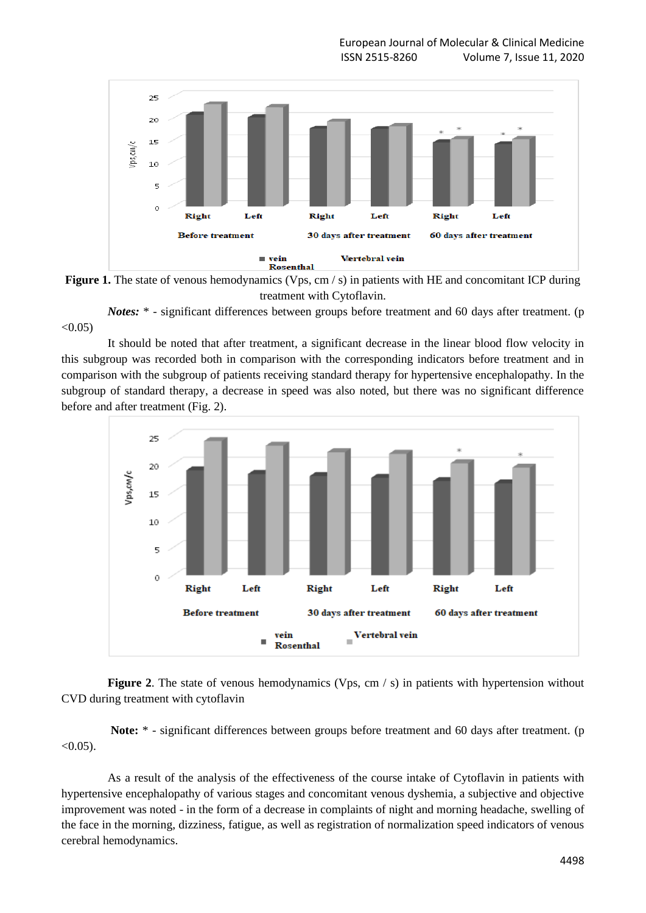



*Notes*: \* - significant differences between groups before treatment and 60 days after treatment. (p  $< 0.05$ )

It should be noted that after treatment, a significant decrease in the linear blood flow velocity in this subgroup was recorded both in comparison with the corresponding indicators before treatment and in comparison with the subgroup of patients receiving standard therapy for hypertensive encephalopathy. In the subgroup of standard therapy, a decrease in speed was also noted, but there was no significant difference before and after treatment (Fig. 2).



**Figure 2.** The state of venous hemodynamics (Vps, cm / s) in patients with hypertension without CVD during treatment with cytoflavin

**Note:** \* - significant differences between groups before treatment and 60 days after treatment. (p  $< 0.05$ ).

As a result of the analysis of the effectiveness of the course intake of Cytoflavin in patients with hypertensive encephalopathy of various stages and concomitant venous dyshemia, a subjective and objective improvement was noted - in the form of a decrease in complaints of night and morning headache, swelling of the face in the morning, dizziness, fatigue, as well as registration of normalization speed indicators of venous cerebral hemodynamics.